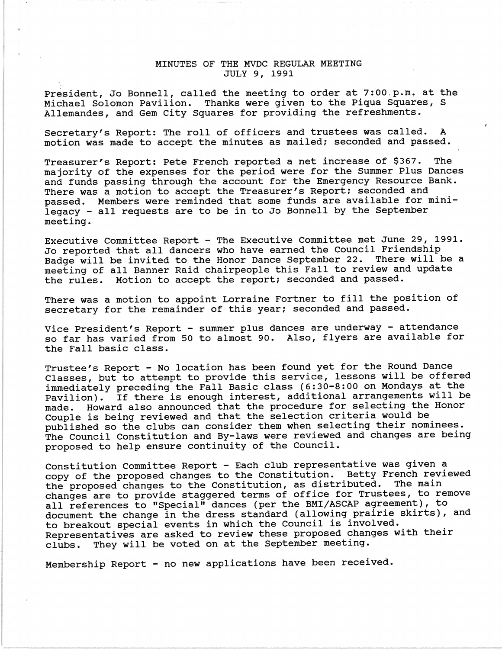## MINUTES OF THE MVDC REGULAR MEETING JULY 9, 1991

President, Jo Bonnell, called the meeting to order at  $7:00$  p.m. at the Michael Solomon Pavilion. Thanks were given to the Piqua Squares, S Allemandes, and Gem City Squares for providing the refreshments.

Secretary's Report: The roll of officers and trustees was called. A motion was made to accept the minutes as mailed; seconded and passed.

Treasurer's Report: Pete French reported a net increase of \$367. The majority of the expenses for the period were for the Summer Plus Dances and funds passing through the account for the Emergency Resource Bank. There was a motion to accept the Treasurer's Report; seconded and passed. Members were reminded that some funds are available for minilegacy - all requests are to be in to Jo Bonnell by the September meeting.

Executive Committee Report - The Executive Committee met June 29, 1991. Jo reported that all dancers who have earned the Council Friendship Badge will be invited to the Honor Dance September 22. There will be a meeting of all Banner Raid chairpeople this Fall to review and update the rules. Motion to accept the report; seconded and passed.

There was a motion to appoint Lorraine Fortner to fill the position of secretary for the remainder of this year; seconded and passed.

Vice President's Report - summer plus dances are underway - attendance so far has varied from 50 to almost 90. Also, flyers are available for the Fall basic class.

Trustee's Report - No location has been found yet for the Round Dance Classes, but to attempt to provide this service, lessons will be offered immediately preceding the Fall Basic class (6:30-8:00 on Mondays at the Pavilion). If there is enough interest, additional arrangements will be made. Howard also announced that the procedure for selecting the Honor Couple is being reviewed and that the selection criteria would be published so the clubs can consider them when selecting their nominees. The Council Constitution and By-laws were reviewed and changes are being proposed to help ensure continuity of the Council.

Constitution Committee Report - Each club representative was given a copy of the proposed changes to the Constitution. Betty French reviewed<br>the proposed changes to the Constitution, as distributed. The main the proposed changes to the Constitution, as distributed. changes are to provide staggered terms of office for Trustees, to remove all references to "Special" dances (per the BMI/ASCAP agreement), to document the change in the dress standard (allowing prairie skirts), and to breakout special events in which the Council is involved. Representatives are asked to review these proposed changes with their clubs. They will be voted on at the September meeting.

Membership Report - no new applications have been received.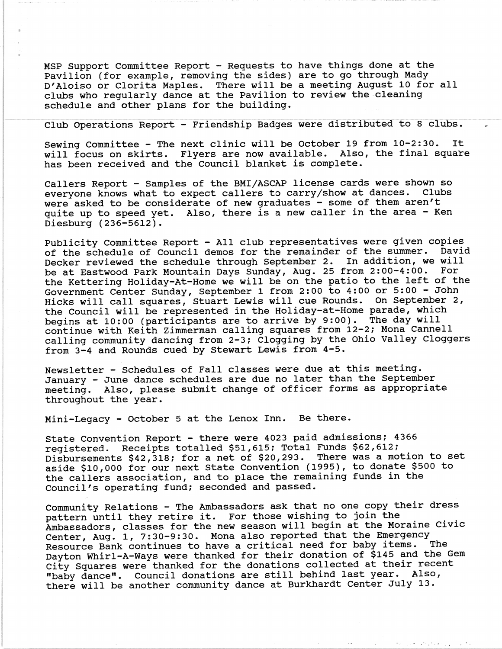MSP Support Committee Report - Requests to have things done at the Pavilion (for example, removing the sides) are to go through Mady D'Aloiso or Clorita Maples. There will be a meeting August 10 for all clubs who regularly dance at the Pavilion to review the cleaning schedule and other plans for the building.

Club Operations Report - Friendship Badges were distributed to 8 clubs.

Sewing Committee - The next clinic will be October 19 from 10-2:30. It will focus on skirts. Flyers are now available. Also, the final square has been received and the Council blanket is complete.

Callers Report - Samples of the BMI/ASCAP license cards were shown so<br>everyone knows what to expect callers to carry/show at dances. Clubs everyone knows what to expect callers to carry/show at dances. were asked to be considerate of new graduates - some of them aren't quite up to speed yet. Also, there is a new caller in the area - Ken Diesburg (236-5612).

Publicity Committee Report - All club representatives were given copies<br>of the schedule of Council demos for the remainder of the summer. David of the schedule of Council demos for the remainder of the summer. Decker reviewed the schedule through September 2. In addition, we will be at Eastwood Park Mountain Days Sunday, Aug. 25 from 2:00-4:00. For the Kettering Holiday-At-Home we will be on the patio to the left of the Government Center Sunday, September 1 from 2:00 to 4:00 or 5:00 - John Hicks will call squares, Stuart Lewis will cue Rounds. On September 2, the Council will be represented in the Holiday-at-Home parade, which begins at 10:00 (participants are to arrive by 9:00). The day will continue with Keith Zimmerman calling squares from 12-2; Mona Cannell calling community dancing from 2-3; Clogging by the Ohio Valley Cloggers from 3-4 and Rounds cued by Stewart Lewis from 4-5.

Newsletter - Schedules of Fall classes were due at this meeting. January - June dance schedules are due no later than the September meeting. Also, please submit change of officer forms as appropriate throughout the year.

Mini-Legacy - October 5 at the Lenox Inn. Be there.

state Convention Report - there were 4023 paid admissions; 4366 registered. Receipts totalled \$51,615; Total Funds \$62,612; Disbursements \$42,318; for a net of \$20,293. There was a motion to set aside \$10,000 for our next state Convention (1995), to donate \$500 to the callers association, and to place the remaining funds in the Council's operating fund; seconded and passed.

Community Relations - The Ambassadors ask that no one copy their dress pattern until they retire it. For those wishing to join the Ambassadors, classes for the new season will begin at the Moraine civic Center, Aug. 1, 7:30-9:30. Mona also reported that the Emergency<br>Resource Bank continues to have a critical need for baby items. The Resource Bank continues to have a critical need for baby items. Dayton Whirl-A-Ways were thanked for their donation of \$145 and the Gem city Squares were thanked for the donations collected at their recent "baby dance". Council donations are still behind last year. Also, there will be another community dance at Burkhardt Center July 13.

**CONTRACTOR**